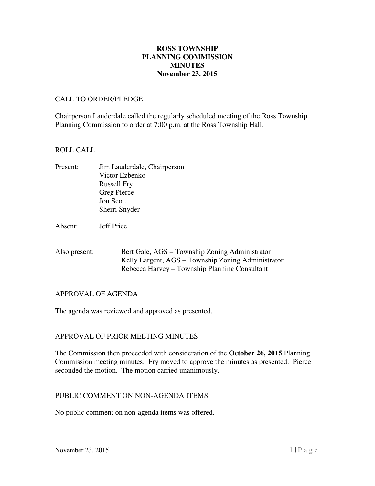### **November 23, 2015 ROSS TOWNSHIP PLANNING COMMISSION MINUTES**

#### CALL TO ORDER/PLEDGE

 Chairperson Lauderdale called the regularly scheduled meeting of the Ross Township Planning Commission to order at 7:00 p.m. at the Ross Township Hall.

#### ROLL CALL

- Present: Victor Ezbenko Russell Fry Greg Pierce Jon Scott Sherri Snyder Jim Lauderdale, Chairperson
- Absent: Jeff Price
- Also present: Bert Gale, AGS – Township Zoning Administrator Kelly Largent, AGS – Township Zoning Administrator Rebecca Harvey – Township Planning Consultant

#### APPROVAL OF AGENDA

The agenda was reviewed and approved as presented.

## APPROVAL OF PRIOR MEETING MINUTES

 The Commission then proceeded with consideration of the **October 26, 2015** Planning Commission meeting minutes. Fry moved to approve the minutes as presented. Pierce seconded the motion. The motion carried unanimously.

### PUBLIC COMMENT ON NON-AGENDA ITEMS

No public comment on non-agenda items was offered.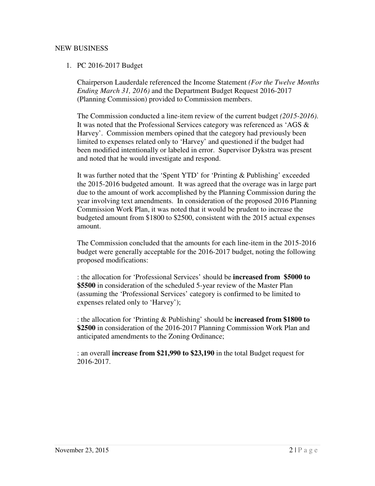# NEW BUSINESS

## 1. PC 2016-2017 Budget

 Chairperson Lauderdale referenced the Income Statement *(For the Twelve Months Ending March 31, 2016)* and the Department Budget Request 2016-2017 (Planning Commission) provided to Commission members.

 The Commission conducted a line-item review of the current budget *(2015-2016)*. It was noted that the Professional Services category was referenced as 'AGS & Harvey'. Commission members opined that the category had previously been limited to expenses related only to 'Harvey' and questioned if the budget had been modified intentionally or labeled in error. Supervisor Dykstra was present and noted that he would investigate and respond.

 It was further noted that the 'Spent YTD' for 'Printing & Publishing' exceeded the 2015-2016 budgeted amount. It was agreed that the overage was in large part due to the amount of work accomplished by the Planning Commission during the year involving text amendments. In consideration of the proposed 2016 Planning Commission Work Plan, it was noted that it would be prudent to increase the budgeted amount from \$1800 to \$2500, consistent with the 2015 actual expenses amount.

amount.<br>The Commission concluded that the amounts for each line-item in the 2015-2016 budget were generally acceptable for the 2016-2017 budget, noting the following proposed modifications:

 : the allocation for 'Professional Services' should be **increased from \$5000 to \$5500** in consideration of the scheduled 5-year review of the Master Plan (assuming the 'Professional Services' category is confirmed to be limited to expenses related only to 'Harvey');

 : the allocation for 'Printing & Publishing' should be **increased from \$1800 to \$2500** in consideration of the 2016-2017 Planning Commission Work Plan and anticipated amendments to the Zoning Ordinance;

 : an overall **increase from \$21,990 to \$23,190** in the total Budget request for 2016-2017.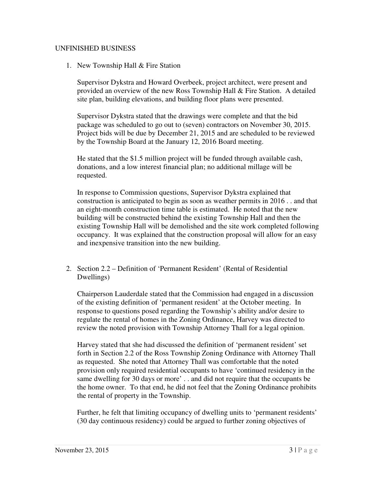## UNFINISHED BUSINESS

1. New Township Hall & Fire Station

 Supervisor Dykstra and Howard Overbeek, project architect, were present and provided an overview of the new Ross Township Hall & Fire Station. A detailed site plan, building elevations, and building floor plans were presented.

 Supervisor Dykstra stated that the drawings were complete and that the bid package was scheduled to go out to (seven) contractors on November 30, 2015. Project bids will be due by December 21, 2015 and are scheduled to be reviewed by the Township Board at the January 12, 2016 Board meeting.

 He stated that the \$1.5 million project will be funded through available cash, donations, and a low interest financial plan; no additional millage will be requested.

 In response to Commission questions, Supervisor Dykstra explained that construction is anticipated to begin as soon as weather permits in 2016 . . and that an eight-month construction time table is estimated. He noted that the new building will be constructed behind the existing Township Hall and then the existing Township Hall will be demolished and the site work completed following occupancy. It was explained that the construction proposal will allow for an easy and inexpensive transition into the new building.

2. Section 2.2 – Definition of 'Permanent Resident' (Rental of Residential Dwellings)

 Chairperson Lauderdale stated that the Commission had engaged in a discussion of the existing definition of 'permanent resident' at the October meeting. In response to questions posed regarding the Township's ability and/or desire to regulate the rental of homes in the Zoning Ordinance, Harvey was directed to review the noted provision with Township Attorney Thall for a legal opinion.

 Harvey stated that she had discussed the definition of 'permanent resident' set forth in Section 2.2 of the Ross Township Zoning Ordinance with Attorney Thall as requested. She noted that Attorney Thall was comfortable that the noted provision only required residential occupants to have 'continued residency in the same dwelling for 30 days or more' . . and did not require that the occupants be the home owner. To that end, he did not feel that the Zoning Ordinance prohibits the rental of property in the Township.

 Further, he felt that limiting occupancy of dwelling units to 'permanent residents' (30 day continuous residency) could be argued to further zoning objectives of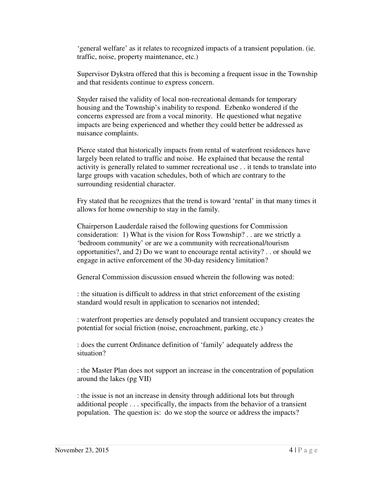'general welfare' as it relates to recognized impacts of a transient population. (ie. traffic, noise, property maintenance, etc.)

 Supervisor Dykstra offered that this is becoming a frequent issue in the Township and that residents continue to express concern.

 Snyder raised the validity of local non-recreational demands for temporary housing and the Township's inability to respond. Ezbenko wondered if the concerns expressed are from a vocal minority. He questioned what negative impacts are being experienced and whether they could better be addressed as nuisance complaints.

 Pierce stated that historically impacts from rental of waterfront residences have largely been related to traffic and noise. He explained that because the rental activity is generally related to summer recreational use . . it tends to translate into large groups with vacation schedules, both of which are contrary to the surrounding residential character.

 Fry stated that he recognizes that the trend is toward 'rental' in that many times it allows for home ownership to stay in the family.

 Chairperson Lauderdale raised the following questions for Commission consideration: 1) What is the vision for Ross Township? . . are we strictly a 'bedroom community' or are we a community with recreational/tourism opportunities?, and 2) Do we want to encourage rental activity? . . or should we engage in active enforcement of the 30-day residency limitation?

General Commission discussion ensued wherein the following was noted:

 : the situation is difficult to address in that strict enforcement of the existing standard would result in application to scenarios not intended;

 : waterfront properties are densely populated and transient occupancy creates the potential for social friction (noise, encroachment, parking, etc.)

: does the current Ordinance definition of 'family' adequately address the situation?

 : the Master Plan does not support an increase in the concentration of population around the lakes (pg VII)

 : the issue is not an increase in density through additional lots but through additional people . . . specifically, the impacts from the behavior of a transient population. The question is: do we stop the source or address the impacts?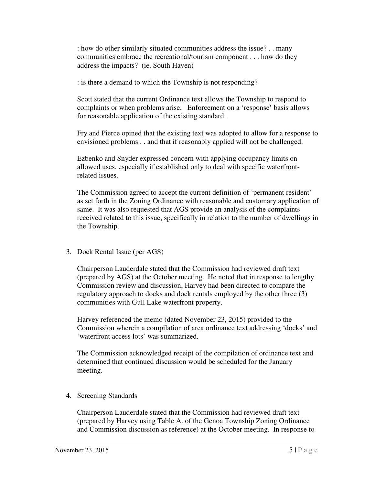: how do other similarly situated communities address the issue? . . many communities embrace the recreational/tourism component . . . how do they address the impacts? (ie. South Haven)

: is there a demand to which the Township is not responding?

 Scott stated that the current Ordinance text allows the Township to respond to complaints or when problems arise. Enforcement on a 'response' basis allows for reasonable application of the existing standard.

 Fry and Pierce opined that the existing text was adopted to allow for a response to envisioned problems . . and that if reasonably applied will not be challenged.

 Ezbenko and Snyder expressed concern with applying occupancy limits on allowed uses, especially if established only to deal with specific waterfront-related issues.

 The Commission agreed to accept the current definition of 'permanent resident' as set forth in the Zoning Ordinance with reasonable and customary application of same. It was also requested that AGS provide an analysis of the complaints received related to this issue, specifically in relation to the number of dwellings in the Township.

3. Dock Rental Issue (per AGS)

 Chairperson Lauderdale stated that the Commission had reviewed draft text (prepared by AGS) at the October meeting. He noted that in response to lengthy Commission review and discussion, Harvey had been directed to compare the regulatory approach to docks and dock rentals employed by the other three (3) communities with Gull Lake waterfront property.

 Harvey referenced the memo (dated November 23, 2015) provided to the Commission wherein a compilation of area ordinance text addressing 'docks' and 'waterfront access lots' was summarized.

 The Commission acknowledged receipt of the compilation of ordinance text and determined that continued discussion would be scheduled for the January meeting.

4. Screening Standards

 Chairperson Lauderdale stated that the Commission had reviewed draft text (prepared by Harvey using Table A. of the Genoa Township Zoning Ordinance and Commission discussion as reference) at the October meeting. In response to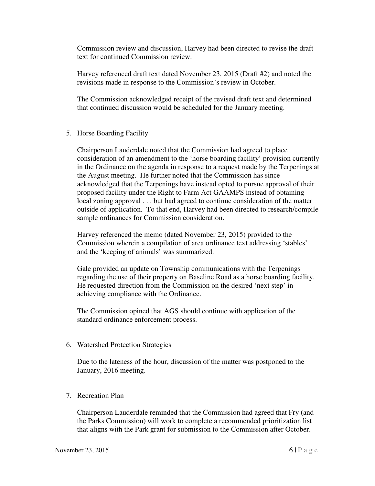Commission review and discussion, Harvey had been directed to revise the draft text for continued Commission review.

 Harvey referenced draft text dated November 23, 2015 (Draft #2) and noted the revisions made in response to the Commission's review in October.

 The Commission acknowledged receipt of the revised draft text and determined that continued discussion would be scheduled for the January meeting.

# 5. Horse Boarding Facility

 Chairperson Lauderdale noted that the Commission had agreed to place consideration of an amendment to the 'horse boarding facility' provision currently in the Ordinance on the agenda in response to a request made by the Terpenings at the August meeting. He further noted that the Commission has since acknowledged that the Terpenings have instead opted to pursue approval of their proposed facility under the Right to Farm Act GAAMPS instead of obtaining local zoning approval . . . but had agreed to continue consideration of the matter outside of application. To that end, Harvey had been directed to research/compile sample ordinances for Commission consideration.

 Harvey referenced the memo (dated November 23, 2015) provided to the Commission wherein a compilation of area ordinance text addressing 'stables' and the 'keeping of animals' was summarized.

 Gale provided an update on Township communications with the Terpenings regarding the use of their property on Baseline Road as a horse boarding facility. He requested direction from the Commission on the desired 'next step' in achieving compliance with the Ordinance.

 The Commission opined that AGS should continue with application of the standard ordinance enforcement process.

6. Watershed Protection Strategies

 Due to the lateness of the hour, discussion of the matter was postponed to the January, 2016 meeting.

7. Recreation Plan

 Chairperson Lauderdale reminded that the Commission had agreed that Fry (and the Parks Commission) will work to complete a recommended prioritization list that aligns with the Park grant for submission to the Commission after October.